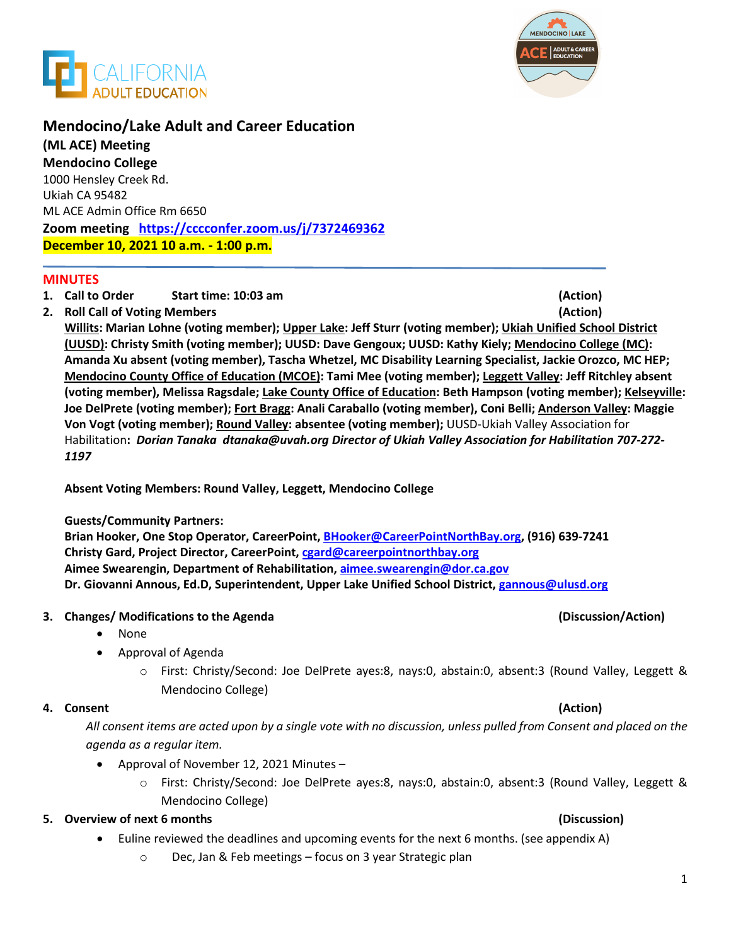



# **Mendocino/Lake Adult and Career Education**

**(ML ACE) Meeting Mendocino College**  1000 Hensley Creek Rd. Ukiah CA 95482 ML ACE Admin Office Rm 6650 **Zoom meeting <https://cccconfer.zoom.us/j/7372469362> December 10, 2021 10 a.m. - 1:00 p.m.**

## **MINUTES**

- **1. Call to Order Start time: 10:03 am (Action)**
- **2. Roll Call of Voting Members (Action)**

**Willits: Marian Lohne (voting member); Upper Lake: Jeff Sturr (voting member); Ukiah Unified School District (UUSD): Christy Smith (voting member); UUSD: Dave Gengoux; UUSD: Kathy Kiely; Mendocino College (MC): Amanda Xu absent (voting member), Tascha Whetzel, MC Disability Learning Specialist, Jackie Orozco, MC HEP; Mendocino County Office of Education (MCOE): Tami Mee (voting member); Leggett Valley: Jeff Ritchley absent (voting member), Melissa Ragsdale; Lake County Office of Education: Beth Hampson (voting member); Kelseyville: Joe DelPrete (voting member); Fort Bragg: Anali Caraballo (voting member), Coni Belli; Anderson Valley: Maggie Von Vogt (voting member); Round Valley: absentee (voting member);** UUSD-Ukiah Valley Association for Habilitation**:** *Dorian Tanaka dtanaka@uvah.org Director of Ukiah Valley Association for Habilitation 707-272- 1197*

**Absent Voting Members: Round Valley, Leggett, Mendocino College**

## **Guests/Community Partners:**

**Brian Hooker, One Stop Operator, CareerPoint, [BHooker@CareerPointNorthBay.org,](mailto:BHooker@CareerPointNorthBay.org) (916) 639-7241 Christy Gard, Project Director, CareerPoint, cgard@careerpointnorthbay.org Aimee Swearengin, Department of Rehabilitation, aimee.swearengin@dor.ca.gov Dr. Giovanni Annous, Ed.D, Superintendent, Upper Lake Unified School District, gannous@ulusd.org**

## **3. Changes/ Modifications to the Agenda (Discussion/Action)**

- None
- Approval of Agenda
	- o First: Christy/Second: Joe DelPrete ayes:8, nays:0, abstain:0, absent:3 (Round Valley, Leggett & Mendocino College)

## **4. Consent (Action)**

*All consent items are acted upon by a single vote with no discussion, unless pulled from Consent and placed on the agenda as a regular item.* 

- Approval of November 12, 2021 Minutes
	- o First: Christy/Second: Joe DelPrete ayes:8, nays:0, abstain:0, absent:3 (Round Valley, Leggett & Mendocino College)

## **5. Overview of next 6 months (Discussion)**

- Euline reviewed the deadlines and upcoming events for the next 6 months. (see appendix A)
	- o Dec, Jan & Feb meetings focus on 3 year Strategic plan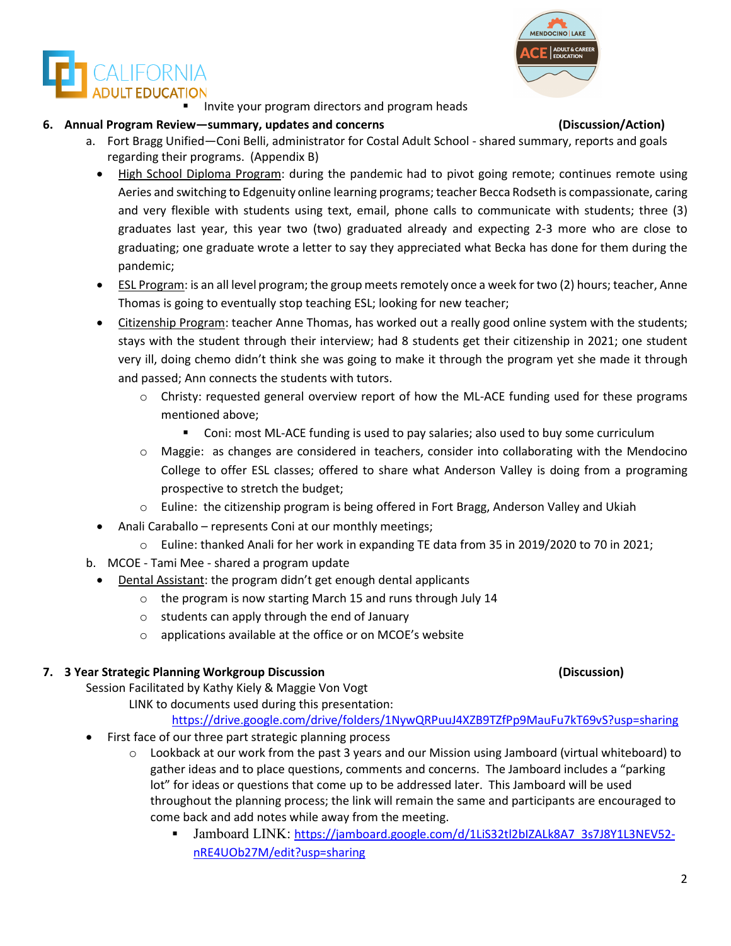Invite your program directors and program heads

# **6. Annual Program Review—summary, updates and concerns (Discussion/Action)**

**ALIFORNIA** 

- a. Fort Bragg Unified—Coni Belli, administrator for Costal Adult School shared summary, reports and goals regarding their programs. (Appendix B)
	- High School Diploma Program: during the pandemic had to pivot going remote; continues remote using Aeries and switching to Edgenuity online learning programs; teacher Becca Rodseth is compassionate, caring and very flexible with students using text, email, phone calls to communicate with students; three (3) graduates last year, this year two (two) graduated already and expecting 2-3 more who are close to graduating; one graduate wrote a letter to say they appreciated what Becka has done for them during the pandemic;
	- ESL Program: is an all level program; the group meets remotely once a week for two (2) hours; teacher, Anne Thomas is going to eventually stop teaching ESL; looking for new teacher;
	- Citizenship Program: teacher Anne Thomas, has worked out a really good online system with the students; stays with the student through their interview; had 8 students get their citizenship in 2021; one student very ill, doing chemo didn't think she was going to make it through the program yet she made it through and passed; Ann connects the students with tutors.
		- $\circ$  Christy: requested general overview report of how the ML-ACE funding used for these programs mentioned above;
			- Coni: most ML-ACE funding is used to pay salaries; also used to buy some curriculum
		- o Maggie: as changes are considered in teachers, consider into collaborating with the Mendocino College to offer ESL classes; offered to share what Anderson Valley is doing from a programing prospective to stretch the budget;
		- $\circ$  Euline: the citizenship program is being offered in Fort Bragg, Anderson Valley and Ukiah
	- Anali Caraballo represents Coni at our monthly meetings;
		- o Euline: thanked Anali for her work in expanding TE data from 35 in 2019/2020 to 70 in 2021;
- b. MCOE Tami Mee shared a program update
	- Dental Assistant: the program didn't get enough dental applicants
		- o the program is now starting March 15 and runs through July 14
		- o students can apply through the end of January
		- o applications available at the office or on MCOE's website

## **7. 3 Year Strategic Planning Workgroup Discussion (Discussion)**

Session Facilitated by Kathy Kiely & Maggie Von Vogt

LINK to documents used during this presentation:

<https://drive.google.com/drive/folders/1NywQRPuuJ4XZB9TZfPp9MauFu7kT69vS?usp=sharing>

- First face of our three part strategic planning process
	- $\circ$  Lookback at our work from the past 3 years and our Mission using Jamboard (virtual whiteboard) to gather ideas and to place questions, comments and concerns. The Jamboard includes a "parking lot" for ideas or questions that come up to be addressed later. This Jamboard will be used throughout the planning process; the link will remain the same and participants are encouraged to come back and add notes while away from the meeting.
		- Jamboard LINK: [https://jamboard.google.com/d/1LiS32tl2bIZALk8A7\\_3s7J8Y1L3NEV52](https://jamboard.google.com/d/1LiS32tl2bIZALk8A7_3s7J8Y1L3NEV52-nRE4UOb27M/edit?usp=sharing) [nRE4UOb27M/edit?usp=sharing](https://jamboard.google.com/d/1LiS32tl2bIZALk8A7_3s7J8Y1L3NEV52-nRE4UOb27M/edit?usp=sharing)

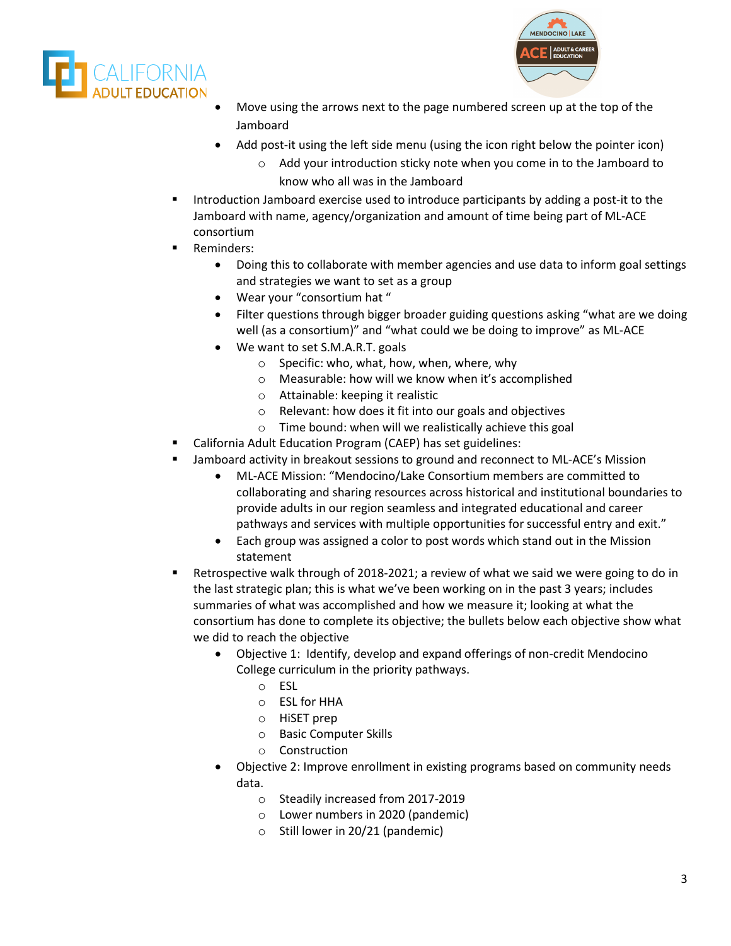



- Move using the arrows next to the page numbered screen up at the top of the Jamboard
- Add post-it using the left side menu (using the icon right below the pointer icon)
	- Add your introduction sticky note when you come in to the Jamboard to know who all was in the Jamboard
- Introduction Jamboard exercise used to introduce participants by adding a post-it to the Jamboard with name, agency/organization and amount of time being part of ML-ACE consortium
- Reminders:
	- Doing this to collaborate with member agencies and use data to inform goal settings and strategies we want to set as a group
	- Wear your "consortium hat "
	- Filter questions through bigger broader guiding questions asking "what are we doing well (as a consortium)" and "what could we be doing to improve" as ML-ACE
	- We want to set S.M.A.R.T. goals
		- o Specific: who, what, how, when, where, why
		- o Measurable: how will we know when it's accomplished
		- o Attainable: keeping it realistic
		- o Relevant: how does it fit into our goals and objectives
		- o Time bound: when will we realistically achieve this goal
- California Adult Education Program (CAEP) has set guidelines:
- Jamboard activity in breakout sessions to ground and reconnect to ML-ACE's Mission
	- ML-ACE Mission: "Mendocino/Lake Consortium members are committed to collaborating and sharing resources across historical and institutional boundaries to provide adults in our region seamless and integrated educational and career pathways and services with multiple opportunities for successful entry and exit."
	- Each group was assigned a color to post words which stand out in the Mission statement
- Retrospective walk through of 2018-2021; a review of what we said we were going to do in the last strategic plan; this is what we've been working on in the past 3 years; includes summaries of what was accomplished and how we measure it; looking at what the consortium has done to complete its objective; the bullets below each objective show what we did to reach the objective
	- Objective 1: Identify, develop and expand offerings of non-credit Mendocino College curriculum in the priority pathways.
		- o ESL
		- o ESL for HHA
		- o HiSET prep
		- o Basic Computer Skills
		- o Construction
	- Objective 2: Improve enrollment in existing programs based on community needs data.
		- o Steadily increased from 2017-2019
		- o Lower numbers in 2020 (pandemic)
		- o Still lower in 20/21 (pandemic)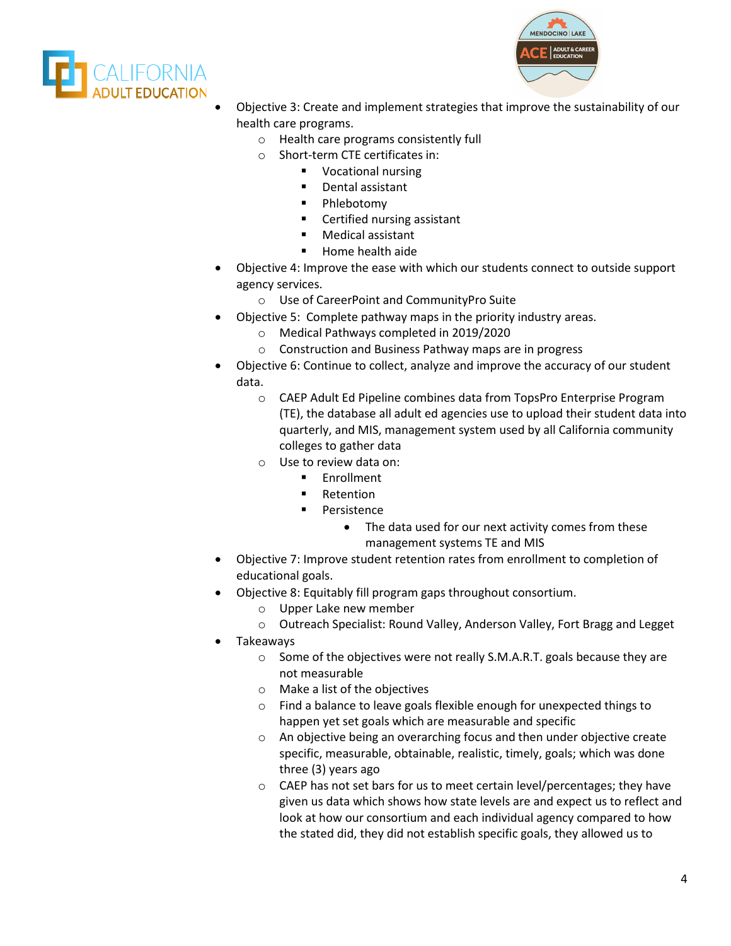



- Objective 3: Create and implement strategies that improve the sustainability of our health care programs.
	- o Health care programs consistently full
	- o Short-term CTE certificates in:
		- **Vocational nursing**
		- Dental assistant
		- **•** Phlebotomy
		- **EXEC** Certified nursing assistant
		- **Medical assistant**
		- **Home health aide**
- Objective 4: Improve the ease with which our students connect to outside support agency services.
	- o Use of CareerPoint and CommunityPro Suite
- Objective 5: Complete pathway maps in the priority industry areas.
	- o Medical Pathways completed in 2019/2020
	- o Construction and Business Pathway maps are in progress
- Objective 6: Continue to collect, analyze and improve the accuracy of our student data.
	- o CAEP Adult Ed Pipeline combines data from TopsPro Enterprise Program (TE), the database all adult ed agencies use to upload their student data into quarterly, and MIS, management system used by all California community colleges to gather data
	- o Use to review data on:
		- **Enrollment**
		- **Retention**
		- **Persistence** 
			- The data used for our next activity comes from these management systems TE and MIS
- Objective 7: Improve student retention rates from enrollment to completion of educational goals.
- Objective 8: Equitably fill program gaps throughout consortium.
	- o Upper Lake new member
	- o Outreach Specialist: Round Valley, Anderson Valley, Fort Bragg and Legget
- Takeaways
	- o Some of the objectives were not really S.M.A.R.T. goals because they are not measurable
	- o Make a list of the objectives
	- $\circ$  Find a balance to leave goals flexible enough for unexpected things to happen yet set goals which are measurable and specific
	- o An objective being an overarching focus and then under objective create specific, measurable, obtainable, realistic, timely, goals; which was done three (3) years ago
	- o CAEP has not set bars for us to meet certain level/percentages; they have given us data which shows how state levels are and expect us to reflect and look at how our consortium and each individual agency compared to how the stated did, they did not establish specific goals, they allowed us to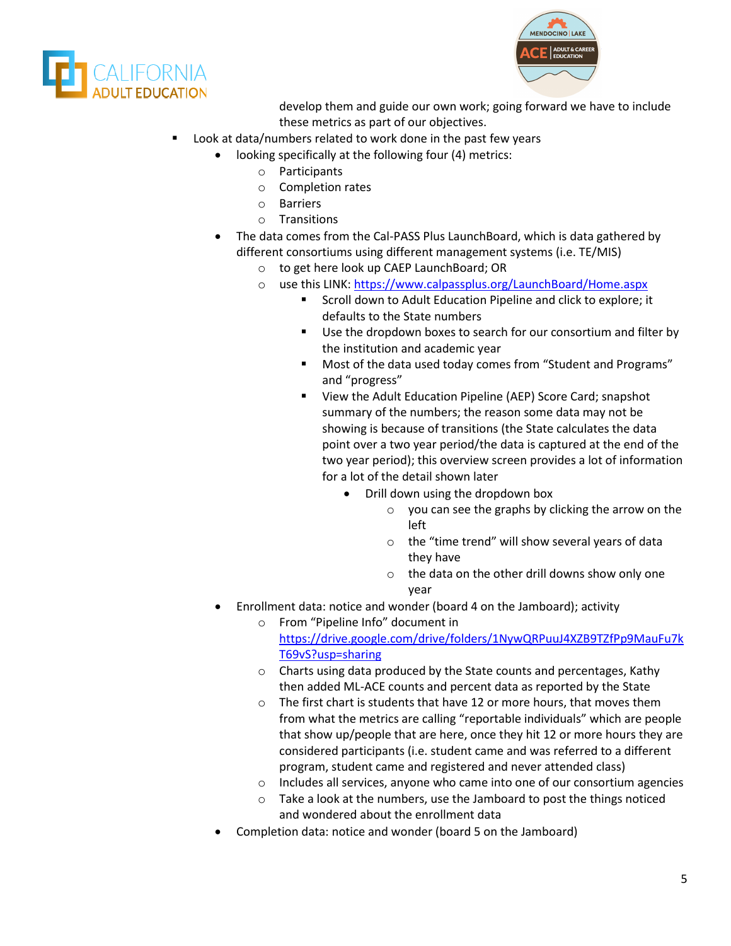



develop them and guide our own work; going forward we have to include these metrics as part of our objectives.

- Look at data/numbers related to work done in the past few years
	- looking specifically at the following four (4) metrics:
		- o Participants
		- o Completion rates
		- o Barriers
		- o Transitions
	- The data comes from the Cal-PASS Plus LaunchBoard, which is data gathered by different consortiums using different management systems (i.e. TE/MIS)
		- o to get here look up CAEP LaunchBoard; OR
		- o use this LINK[: https://www.calpassplus.org/LaunchBoard/Home.aspx](https://www.calpassplus.org/LaunchBoard/Home.aspx)
			- Scroll down to Adult Education Pipeline and click to explore; it defaults to the State numbers
			- Use the dropdown boxes to search for our consortium and filter by the institution and academic year
			- Most of the data used today comes from "Student and Programs" and "progress"
			- View the Adult Education Pipeline (AEP) Score Card; snapshot summary of the numbers; the reason some data may not be showing is because of transitions (the State calculates the data point over a two year period/the data is captured at the end of the two year period); this overview screen provides a lot of information for a lot of the detail shown later
				- Drill down using the dropdown box
					- o you can see the graphs by clicking the arrow on the left
					- o the "time trend" will show several years of data they have
					- o the data on the other drill downs show only one year
	- Enrollment data: notice and wonder (board 4 on the Jamboard); activity
		- o From "Pipeline Info" document in [https://drive.google.com/drive/folders/1NywQRPuuJ4XZB9TZfPp9MauFu7k](https://drive.google.com/drive/folders/1NywQRPuuJ4XZB9TZfPp9MauFu7kT69vS?usp=sharing) [T69vS?usp=sharing](https://drive.google.com/drive/folders/1NywQRPuuJ4XZB9TZfPp9MauFu7kT69vS?usp=sharing)
		- o Charts using data produced by the State counts and percentages, Kathy then added ML-ACE counts and percent data as reported by the State
		- o The first chart is students that have 12 or more hours, that moves them from what the metrics are calling "reportable individuals" which are people that show up/people that are here, once they hit 12 or more hours they are considered participants (i.e. student came and was referred to a different program, student came and registered and never attended class)
		- $\circ$  Includes all services, anyone who came into one of our consortium agencies
		- o Take a look at the numbers, use the Jamboard to post the things noticed and wondered about the enrollment data
	- Completion data: notice and wonder (board 5 on the Jamboard)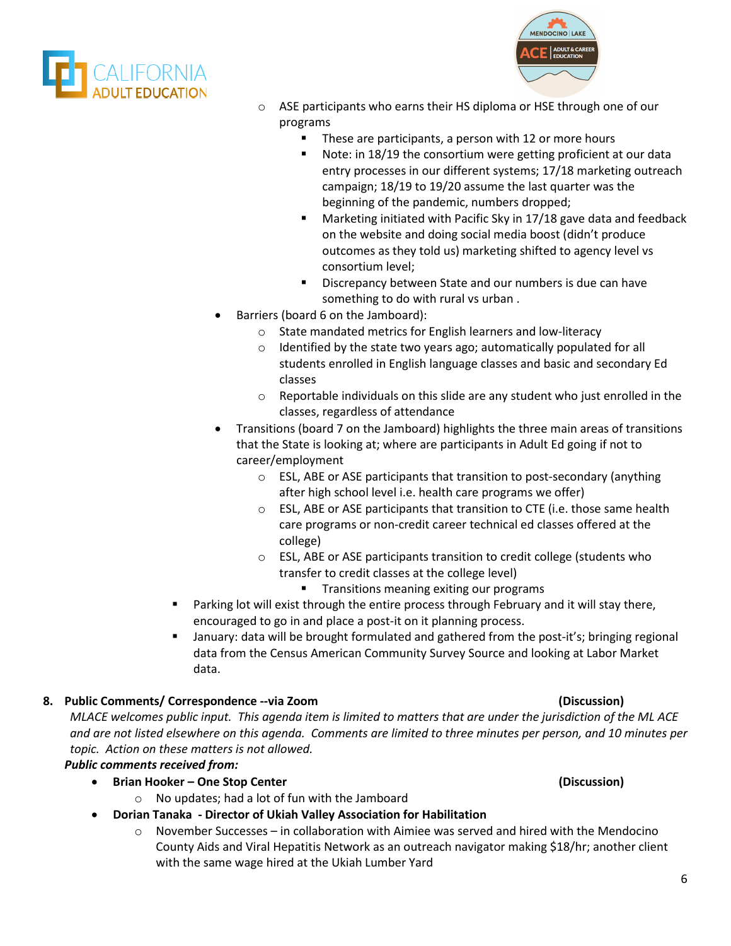



- o ASE participants who earns their HS diploma or HSE through one of our programs
	- These are participants, a person with 12 or more hours
	- Note: in 18/19 the consortium were getting proficient at our data entry processes in our different systems; 17/18 marketing outreach campaign; 18/19 to 19/20 assume the last quarter was the beginning of the pandemic, numbers dropped;
	- Marketing initiated with Pacific Sky in 17/18 gave data and feedback on the website and doing social media boost (didn't produce outcomes as they told us) marketing shifted to agency level vs consortium level;
	- Discrepancy between State and our numbers is due can have something to do with rural vs urban .
- Barriers (board 6 on the Jamboard):
	- o State mandated metrics for English learners and low-literacy
	- o Identified by the state two years ago; automatically populated for all students enrolled in English language classes and basic and secondary Ed classes
	- o Reportable individuals on this slide are any student who just enrolled in the classes, regardless of attendance
- Transitions (board 7 on the Jamboard) highlights the three main areas of transitions that the State is looking at; where are participants in Adult Ed going if not to career/employment
	- o ESL, ABE or ASE participants that transition to post-secondary (anything after high school level i.e. health care programs we offer)
	- o ESL, ABE or ASE participants that transition to CTE (i.e. those same health care programs or non-credit career technical ed classes offered at the college)
	- o ESL, ABE or ASE participants transition to credit college (students who transfer to credit classes at the college level)
		- **Transitions meaning exiting our programs**
- **Parking lot will exist through the entire process through February and it will stay there,** encouraged to go in and place a post-it on it planning process.
- January: data will be brought formulated and gathered from the post-it's; bringing regional data from the Census American Community Survey Source and looking at Labor Market data.

## **8. Public Comments/ Correspondence --via Zoom (Discussion)**

*MLACE welcomes public input. This agenda item is limited to matters that are under the jurisdiction of the ML ACE and are not listed elsewhere on this agenda. Comments are limited to three minutes per person, and 10 minutes per topic. Action on these matters is not allowed.*

*Public comments received from:* 

- **Brian Hooker – One Stop Center (Discussion)**
	- o No updates; had a lot of fun with the Jamboard
	- **Dorian Tanaka - Director of Ukiah Valley Association for Habilitation**
		- $\circ$  November Successes in collaboration with Aimiee was served and hired with the Mendocino County Aids and Viral Hepatitis Network as an outreach navigator making \$18/hr; another client with the same wage hired at the Ukiah Lumber Yard